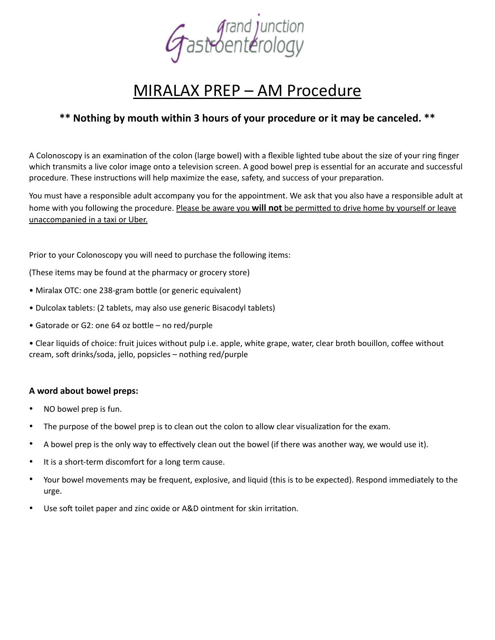

# MIRALAX PREP – AM Procedure

# **\*\* Nothing by mouth within 3 hours of your procedure or it may be canceled. \*\***

A Colonoscopy is an examination of the colon (large bowel) with a flexible lighted tube about the size of your ring finger which transmits a live color image onto a television screen. A good bowel prep is essential for an accurate and successful procedure. These instructions will help maximize the ease, safety, and success of your preparation.

You must have a responsible adult accompany you for the appointment. We ask that you also have a responsible adult at home with you following the procedure. Please be aware you **will not** be permitted to drive home by yourself or leave unaccompanied in a taxi or Uber.

Prior to your Colonoscopy you will need to purchase the following items:

(These items may be found at the pharmacy or grocery store)

- Miralax OTC: one 238-gram bottle (or generic equivalent)
- Dulcolax tablets: (2 tablets, may also use generic Bisacodyl tablets)
- Gatorade or G2: one 64 oz bottle no red/purple

• Clear liquids of choice: fruit juices without pulp i.e. apple, white grape, water, clear broth bouillon, coffee without cream, soft drinks/soda, jello, popsicles – nothing red/purple

### **A word about bowel preps:**

- NO bowel prep is fun.
- The purpose of the bowel prep is to clean out the colon to allow clear visualization for the exam.
- A bowel prep is the only way to effectively clean out the bowel (if there was another way, we would use it).
- It is a short-term discomfort for a long term cause.
- Your bowel movements may be frequent, explosive, and liquid (this is to be expected). Respond immediately to the urge.
- Use soft toilet paper and zinc oxide or A&D ointment for skin irritation.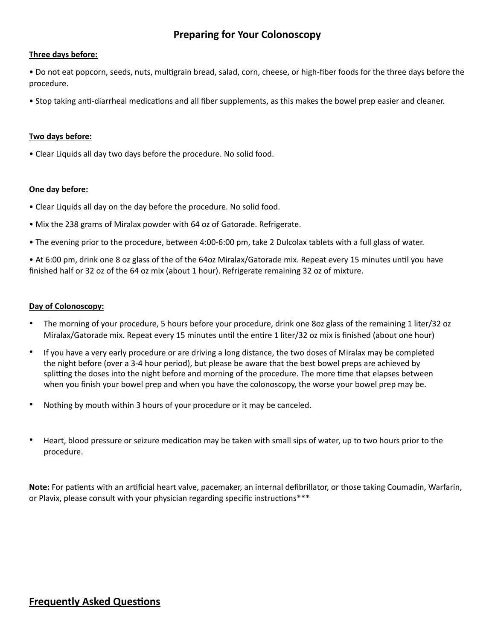## **Preparing for Your Colonoscopy**

#### **Three days before:**

• Do not eat popcorn, seeds, nuts, multigrain bread, salad, corn, cheese, or high-fiber foods for the three days before the procedure.

• Stop taking anti-diarrheal medications and all fiber supplements, as this makes the bowel prep easier and cleaner.

#### **Two days before:**

• Clear Liquids all day two days before the procedure. No solid food.

#### **One day before:**

- Clear Liquids all day on the day before the procedure. No solid food.
- Mix the 238 grams of Miralax powder with 64 oz of Gatorade. Refrigerate.
- The evening prior to the procedure, between 4:00-6:00 pm, take 2 Dulcolax tablets with a full glass of water.

• At 6:00 pm, drink one 8 oz glass of the of the 64oz Miralax/Gatorade mix. Repeat every 15 minutes until you have finished half or 32 oz of the 64 oz mix (about 1 hour). Refrigerate remaining 32 oz of mixture.

#### **Day of Colonoscopy:**

- The morning of your procedure, 5 hours before your procedure, drink one 8oz glass of the remaining 1 liter/32 oz Miralax/Gatorade mix. Repeat every 15 minutes until the entire 1 liter/32 oz mix is finished (about one hour)
- If you have a very early procedure or are driving a long distance, the two doses of Miralax may be completed the night before (over a 3-4 hour period), but please be aware that the best bowel preps are achieved by splitting the doses into the night before and morning of the procedure. The more time that elapses between when you finish your bowel prep and when you have the colonoscopy, the worse your bowel prep may be.
- Nothing by mouth within 3 hours of your procedure or it may be canceled.
- Heart, blood pressure or seizure medication may be taken with small sips of water, up to two hours prior to the procedure.

**Note:** For patients with an artificial heart valve, pacemaker, an internal defibrillator, or those taking Coumadin, Warfarin, or Plavix, please consult with your physician regarding specific instructions\*\*\*

## **Frequently Asked Questions**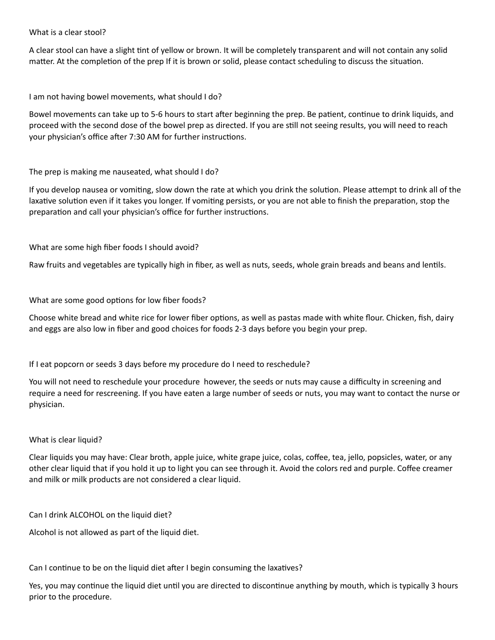What is a clear stool?

A clear stool can have a slight tint of yellow or brown. It will be completely transparent and will not contain any solid matter. At the completion of the prep If it is brown or solid, please contact scheduling to discuss the situation.

I am not having bowel movements, what should I do?

Bowel movements can take up to 5-6 hours to start after beginning the prep. Be patient, continue to drink liquids, and proceed with the second dose of the bowel prep as directed. If you are still not seeing results, you will need to reach your physician's office after 7:30 AM for further instructions.

The prep is making me nauseated, what should I do?

If you develop nausea or vomiting, slow down the rate at which you drink the solution. Please attempt to drink all of the laxative solution even if it takes you longer. If vomiting persists, or you are not able to finish the preparation, stop the preparation and call your physician's office for further instructions.

What are some high fiber foods I should avoid?

Raw fruits and vegetables are typically high in fiber, as well as nuts, seeds, whole grain breads and beans and lentils.

What are some good options for low fiber foods?

Choose white bread and white rice for lower fiber options, as well as pastas made with white flour. Chicken, fish, dairy and eggs are also low in fiber and good choices for foods 2-3 days before you begin your prep.

If I eat popcorn or seeds 3 days before my procedure do I need to reschedule?

You will not need to reschedule your procedure however, the seeds or nuts may cause a difficulty in screening and require a need for rescreening. If you have eaten a large number of seeds or nuts, you may want to contact the nurse or physician.

What is clear liquid?

Clear liquids you may have: Clear broth, apple juice, white grape juice, colas, coffee, tea, jello, popsicles, water, or any other clear liquid that if you hold it up to light you can see through it. Avoid the colors red and purple. Coffee creamer and milk or milk products are not considered a clear liquid.

Can I drink ALCOHOL on the liquid diet?

Alcohol is not allowed as part of the liquid diet.

Can I continue to be on the liquid diet after I begin consuming the laxatives?

Yes, you may continue the liquid diet until you are directed to discontinue anything by mouth, which is typically 3 hours prior to the procedure.